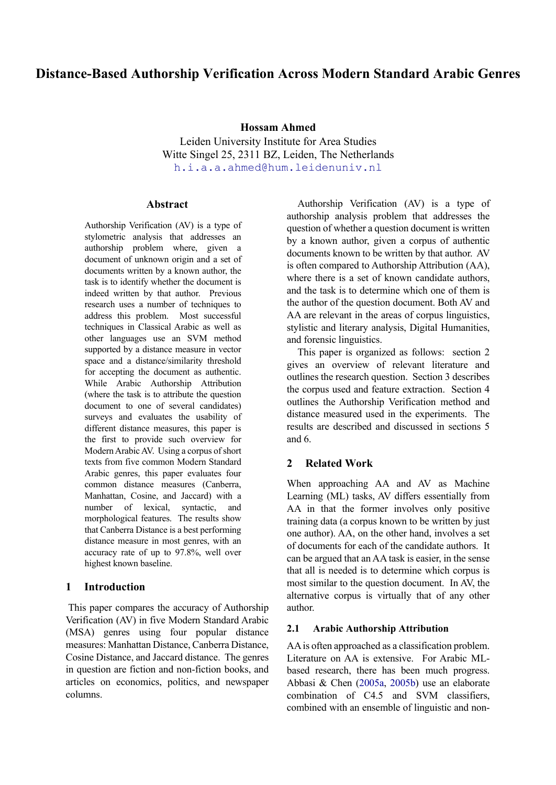# **Distance-Based Authorship Verification Across Modern Standard Arabic Genres**

**Hossam Ahmed**

Leiden University Institute for Area Studies Witte Singel 25, 2311 BZ, Leiden, The Netherlands [h.i.a.a.ahmed@hum.leidenuniv.nl](mailto:h.i.a.a.ahmed@hum.leidenuniv.nl)

#### **Abstract**

Authorship Verification (AV) is a type of stylometric analysis that addresses an authorship problem where, given a document of unknown origin and a set of documents written by a known author, the task is to identify whether the document is indeed written by that author. Previous research uses a number of techniques to address this problem. Most successful techniques in Classical Arabic as well as other languages use an SVM method supported by a distance measure in vector space and a distance/similarity threshold for accepting the document as authentic. While Arabic Authorship Attribution (where the task is to attribute the question document to one of several candidates) surveys and evaluates the usability of different distance measures, this paper is the first to provide such overview for Modern Arabic AV. Using a corpus of short texts from five common Modern Standard Arabic genres, this paper evaluates four common distance measures (Canberra, Manhattan, Cosine, and Jaccard) with a number of lexical, syntactic, and morphological features. The results show that Canberra Distance is a best performing distance measure in most genres, with an accuracy rate of up to 97.8%, well over highest known baseline.

# **1 Introduction**

This paper compares the accuracy of Authorship Verification (AV) in five Modern Standard Arabic (MSA) genres using four popular distance measures: Manhattan Distance, Canberra Distance, Cosine Distance, and Jaccard distance. The genres in question are fiction and non-fiction books, and articles on economics, politics, and newspaper columns.

Authorship Verification (AV) is a type of authorship analysis problem that addresses the question of whether a question document is written by a known author, given a corpus of authentic documents known to be written by that author. AV is often compared to Authorship Attribution (AA), where there is a set of known candidate authors, and the task is to determine which one of them is the author of the question document. Both AV and AA are relevant in the areas of corpus linguistics, stylistic and literary analysis, Digital Humanities, and forensic linguistics.

This paper is organized as follows: section 2 gives an overview of relevant literature and outlines the research question. Section 3 describes the corpus used and feature extraction. Section 4 outlines the Authorship Verification method and distance measured used in the experiments. The results are described and discussed in sections 5 and 6.

### **2 Related Work**

When approaching AA and AV as Machine Learning (ML) tasks, AV differs essentially from AA in that the former involves only positive training data (a corpus known to be written by just one author). AA, on the other hand, involves a set of documents for each of the candidate authors. It can be argued that an AA task is easier, in the sense that all is needed is to determine which corpus is most similar to the question document. In AV, the alternative corpus is virtually that of any other author.

#### **2.1 Arabic Authorship Attribution**

AA is often approached as a classification problem. Literature on AA is extensive. For Arabic MLbased research, there has been much progress. Abbasi & Chen [\(2005a,](#page-6-0) [2005b\)](#page-6-1) use an elaborate combination of C4.5 and SVM classifiers, combined with an ensemble of linguistic and non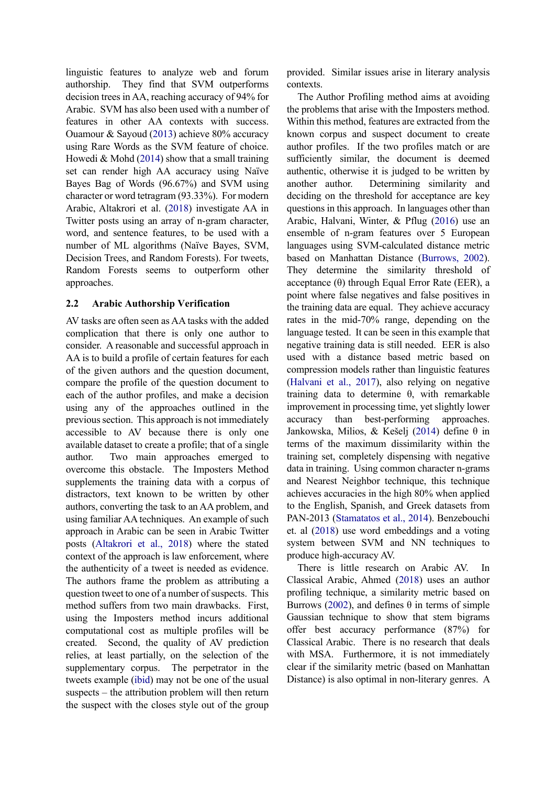linguistic features to analyze web and forum authorship. They find that SVM outperforms decision trees in AA, reaching accuracy of 94% for Arabic. SVM has also been used with a number of features in other AA contexts with success. Ouamour & Sayoud [\(2013\)](#page-7-0) achieve 80% accuracy using Rare Words as the SVM feature of choice. Howedi & Mohd  $(2014)$  show that a small training set can render high AA accuracy using Naïve Bayes Bag of Words (96.67%) and SVM using character or word tetragram (93.33%). For modern Arabic, Altakrori et al. [\(2018\)](#page-6-2) investigate AA in Twitter posts using an array of n-gram character, word, and sentence features, to be used with a number of ML algorithms (Naïve Bayes, SVM, Decision Trees, and Random Forests). For tweets, Random Forests seems to outperform other approaches.

#### **2.2 Arabic Authorship Verification**

AV tasks are often seen as AA tasks with the added complication that there is only one author to consider. A reasonable and successful approach in AA is to build a profile of certain features for each of the given authors and the question document, compare the profile of the question document to each of the author profiles, and make a decision using any of the approaches outlined in the previous section. This approach is not immediately accessible to AV because there is only one available dataset to create a profile; that of a single author. Two main approaches emerged to overcome this obstacle. The Imposters Method supplements the training data with a corpus of distractors, text known to be written by other authors, converting the task to an AA problem, and using familiar AA techniques. An example of such approach in Arabic can be seen in Arabic Twitter posts [\(Altakrori et al., 2018\)](#page-6-2) where the stated context of the approach is law enforcement, where the authenticity of a tweet is needed as evidence. The authors frame the problem as attributing a question tweet to one of a number of suspects. This method suffers from two main drawbacks. First, using the Imposters method incurs additional computational cost as multiple profiles will be created. Second, the quality of AV prediction relies, at least partially, on the selection of the supplementary corpus. The perpetrator in the tweets example [\(ibid\)](#page-6-2) may not be one of the usual suspects – the attribution problem will then return the suspect with the closes style out of the group

provided. Similar issues arise in literary analysis contexts.

The Author Profiling method aims at avoiding the problems that arise with the Imposters method. Within this method, features are extracted from the known corpus and suspect document to create author profiles. If the two profiles match or are sufficiently similar, the document is deemed authentic, otherwise it is judged to be written by another author. Determining similarity and deciding on the threshold for acceptance are key questions in this approach. In languages other than Arabic, Halvani, Winter, & Pflug [\(2016\)](#page-6-3) use an ensemble of n-gram features over 5 European languages using SVM-calculated distance metric based on Manhattan Distance [\(Burrows, 2002\)](#page-6-4). They determine the similarity threshold of acceptance (θ) through Equal Error Rate (EER), a point where false negatives and false positives in the training data are equal. They achieve accuracy rates in the mid-70% range, depending on the language tested. It can be seen in this example that negative training data is still needed. EER is also used with a distance based metric based on compression models rather than linguistic features [\(Halvani et al., 2017\)](#page-6-5), also relying on negative training data to determine θ, with remarkable improvement in processing time, yet slightly lower accuracy than best-performing approaches. Jankowska, Milios, & Kešelj [\(2014\)](#page-7-2) define θ in terms of the maximum dissimilarity within the training set, completely dispensing with negative data in training. Using common character n-grams and Nearest Neighbor technique, this technique achieves accuracies in the high 80% when applied to the English, Spanish, and Greek datasets from PAN-2013 [\(Stamatatos et al., 2014\)](#page-7-3). Benzebouchi et. al [\(2018\)](#page-6-6) use word embeddings and a voting system between SVM and NN techniques to produce high-accuracy AV.

There is little research on Arabic AV. In Classical Arabic, Ahmed [\(2018\)](#page-6-7) uses an author profiling technique, a similarity metric based on Burrows [\(2002\)](#page-6-4), and defines θ in terms of simple Gaussian technique to show that stem bigrams offer best accuracy performance (87%) for Classical Arabic. There is no research that deals with MSA. Furthermore, it is not immediately clear if the similarity metric (based on Manhattan Distance) is also optimal in non-literary genres. A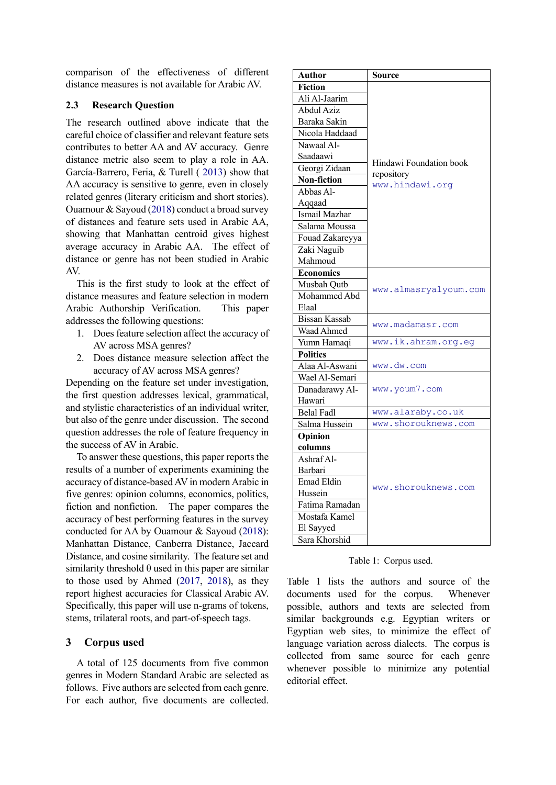comparison of the effectiveness of different distance measures is not available for Arabic AV.

#### **2.3 Research Question**

The research outlined above indicate that the careful choice of classifier and relevant feature sets contributes to better AA and AV accuracy. Genre distance metric also seem to play a role in AA. García-Barrero, Feria, & Turell ( [2013\)](#page-6-8) show that AA accuracy is sensitive to genre, even in closely related genres (literary criticism and short stories). Ouamour & Sayoud [\(2018\)](#page-7-4) conduct a broad survey of distances and feature sets used in Arabic AA, showing that Manhattan centroid gives highest average accuracy in Arabic AA. The effect of distance or genre has not been studied in Arabic AV.

This is the first study to look at the effect of distance measures and feature selection in modern Arabic Authorship Verification. This paper addresses the following questions:

- 1. Does feature selection affect the accuracy of AV across MSA genres?
- 2. Does distance measure selection affect the accuracy of AV across MSA genres?

Depending on the feature set under investigation, the first question addresses lexical, grammatical, and stylistic characteristics of an individual writer, but also of the genre under discussion. The second question addresses the role of feature frequency in the success of AV in Arabic.

To answer these questions, this paper reports the results of a number of experiments examining the accuracy of distance-based AV in modern Arabic in five genres: opinion columns, economics, politics, fiction and nonfiction. The paper compares the accuracy of best performing features in the survey conducted for AA by Ouamour & Sayoud [\(2018\)](#page-7-4): Manhattan Distance, Canberra Distance, Jaccard Distance, and cosine similarity. The feature set and similarity threshold  $\theta$  used in this paper are similar to those used by Ahmed [\(2017,](#page-6-9) [2018\)](#page-6-7), as they report highest accuracies for Classical Arabic AV. Specifically, this paper will use n-grams of tokens, stems, trilateral roots, and part-of-speech tags.

#### **3 Corpus used**

A total of 125 documents from five common genres in Modern Standard Arabic are selected as follows. Five authors are selected from each genre. For each author, five documents are collected.

| Author            | Source                                |  |
|-------------------|---------------------------------------|--|
| Fiction           |                                       |  |
| Ali Al-Jaarim     |                                       |  |
| Abdul Aziz        |                                       |  |
| Baraka Sakin      | Hindawi Foundation book<br>repository |  |
| Nicola Haddaad    |                                       |  |
| Nawaal Al-        |                                       |  |
| Saadaawi          |                                       |  |
| Georgi Zidaan     |                                       |  |
| Non-fiction       | www.hindawi.org                       |  |
| Abbas Al-         |                                       |  |
| Aqqaad            |                                       |  |
| Ismail Mazhar     |                                       |  |
| Salama Moussa     |                                       |  |
| Fouad Zakareyya   |                                       |  |
| Zaki Naguib       |                                       |  |
| Mahmoud           |                                       |  |
| <b>Economics</b>  |                                       |  |
| Musbah Qutb       | www.almasryalyoum.com                 |  |
| Mohammed Abd      |                                       |  |
| Elaal             |                                       |  |
| Bissan Kassab     | www.madamasr.com                      |  |
| Waad Ahmed        |                                       |  |
| Yumn Hamaqi       | www.ik.ahram.org.eg                   |  |
| <b>Politics</b>   |                                       |  |
| Alaa Al-Aswani    | www.dw.com                            |  |
| Wael Al-Semari    |                                       |  |
| Danadarawy Al-    | www.youm7.com                         |  |
| Hawari            |                                       |  |
| <b>Belal Fadl</b> | www.alaraby.co.uk                     |  |
| Salma Hussein     | www.shorouknews.com                   |  |
| Opinion           |                                       |  |
| columns           |                                       |  |
| Ashraf Al-        | www.shorouknews.com                   |  |
| Barbari           |                                       |  |
| <b>Emad Eldin</b> |                                       |  |
| Hussein           |                                       |  |
| Fatima Ramadan    |                                       |  |
| Mostafa Kamel     |                                       |  |
| El Sayyed         |                                       |  |
| Sara Khorshid     |                                       |  |

Table 1: Corpus used.

<span id="page-2-0"></span>[Table 1](#page-2-0) lists the authors and source of the documents used for the corpus. Whenever possible, authors and texts are selected from similar backgrounds e.g. Egyptian writers or Egyptian web sites, to minimize the effect of language variation across dialects. The corpus is collected from same source for each genre whenever possible to minimize any potential editorial effect.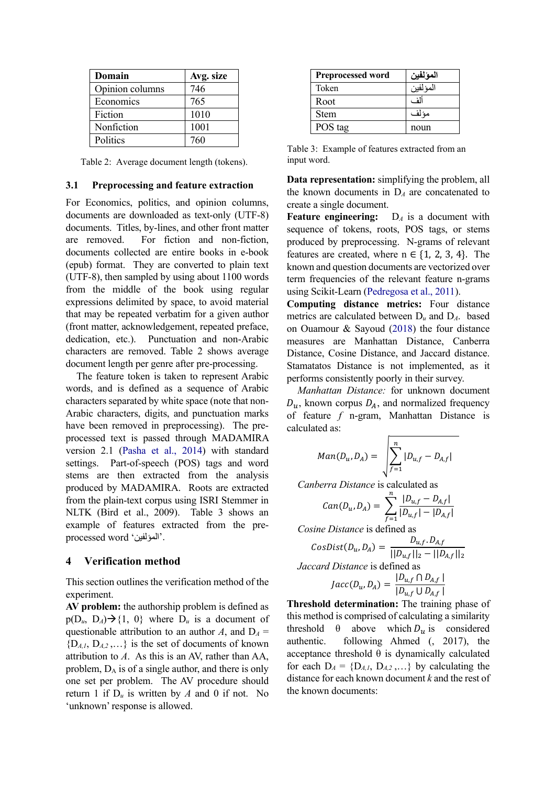| Domain          | Avg. size |
|-----------------|-----------|
| Opinion columns | 746       |
| Economics       | 765       |
| Fiction         | 1010      |
| Nonfiction      | 1001      |
| <b>Politics</b> | 760       |

<span id="page-3-0"></span>Table 2: Average document length (tokens).

#### **3.1 Preprocessing and feature extraction**

For Economics, politics, and opinion columns, documents are downloaded as text-only (UTF-8) documents. Titles, by-lines, and other front matter are removed. For fiction and non-fiction, documents collected are entire books in e-book (epub) format. They are converted to plain text (UTF-8), then sampled by using about 1100 words from the middle of the book using regular expressions delimited by space, to avoid material that may be repeated verbatim for a given author (front matter, acknowledgement, repeated preface, dedication, etc.). Punctuation and non-Arabic characters are removed. [Table 2](#page-3-0) shows average document length per genre after pre-processing.

The feature token is taken to represent Arabic words, and is defined as a sequence of Arabic characters separated by white space (note that non-Arabic characters, digits, and punctuation marks have been removed in preprocessing). The preprocessed text is passed through MADAMIRA version 2.1 [\(Pasha et al., 2014\)](#page-7-5) with standard settings. Part-of-speech (POS) tags and word stems are then extracted from the analysis produced by MADAMIRA. Roots are extracted from the plain-text corpus using ISRI Stemmer in NLTK (Bird et al., 2009). [Table 3](#page-3-1) shows an example of features extracted from the preprocessed word 'المؤلفین'.

#### **4 Verification method**

This section outlines the verification method of the experiment.

**AV problem:** the authorship problem is defined as  $p(D_u, D_A) \rightarrow \{1, 0\}$  where  $D_u$  is a document of questionable attribution to an author *A*, and  $D_A =$  ${D_{A,I}, D_{A,2}, \ldots}$  is the set of documents of known attribution to *A*. As this is an AV, rather than AA, problem,  $D_A$  is of a single author, and there is only one set per problem. The AV procedure should return 1 if  $D_u$  is written by *A* and 0 if not. No 'unknown' response is allowed.

| <b>Preprocessed word</b> | المؤلفين |
|--------------------------|----------|
| Token                    | المؤلفين |
| Root                     | أأف      |
| <b>Stem</b>              | مؤلف     |
| POS tag                  | noun     |

<span id="page-3-1"></span>Table 3: Example of features extracted from an input word.

**Data representation:** simplifying the problem, all the known documents in  $D_A$  are concatenated to create a single document.

**Feature engineering:**  $D_A$  is a document with sequence of tokens, roots, POS tags, or stems produced by preprocessing. N-grams of relevant features are created, where  $n \in \{1, 2, 3, 4\}$ . The known and question documents are vectorized over term frequencies of the relevant feature n-grams using Scikit-Learn [\(Pedregosa et al., 2011\)](#page-7-6).

**Computing distance metrics:** Four distance metrics are calculated between D*<sup>u</sup>* and D*A*. based on Ouamour & Sayoud [\(2018\)](#page-7-4) the four distance measures are Manhattan Distance, Canberra Distance, Cosine Distance, and Jaccard distance. Stamatatos Distance is not implemented, as it performs consistently poorly in their survey.

*Manhattan Distance:* for unknown document  $D_u$ , known corpus  $D_A$ , and normalized frequency of feature *f* n-gram, Manhattan Distance is calculated as:

$$
Man(D_u, D_A) = \sqrt{\sum_{f=1}^{n} |D_{u,f} - D_{A,f}|}
$$

*Canberra Distance* is calculated as

$$
Can(D_u, D_A) = \sum_{f=1}^{n} \frac{|D_{u,f} - D_{A,f}|}{|D_{u,f}| - |D_{A,f}|}
$$

*Cosine Distance* is defined as  $CosDist(D_u, D_A) = \frac{D_{u,f}, D_{A,f}}{||D_{u,f}||_2 - ||D_{A,f}||_2}$ *Jaccard Distance* is defined as  $Jacc(D_u, D_A) = \frac{|D_{u,f} \cap D_{A,f}|}{|D_{u,f} \cup D_{A,f}|}$ 

**Threshold determination:** The training phase of this method is comprised of calculating a similarity threshold  $\theta$  above which  $D_u$  is considered<br>authentic. following Ahmed (, 2017), the following Ahmed  $($ , 2017), the acceptance threshold  $θ$  is dynamically calculated for each  $D_A = \{D_{A,I}, D_{A,2}, \ldots\}$  by calculating the distance for each known document *k* and the rest of the known documents: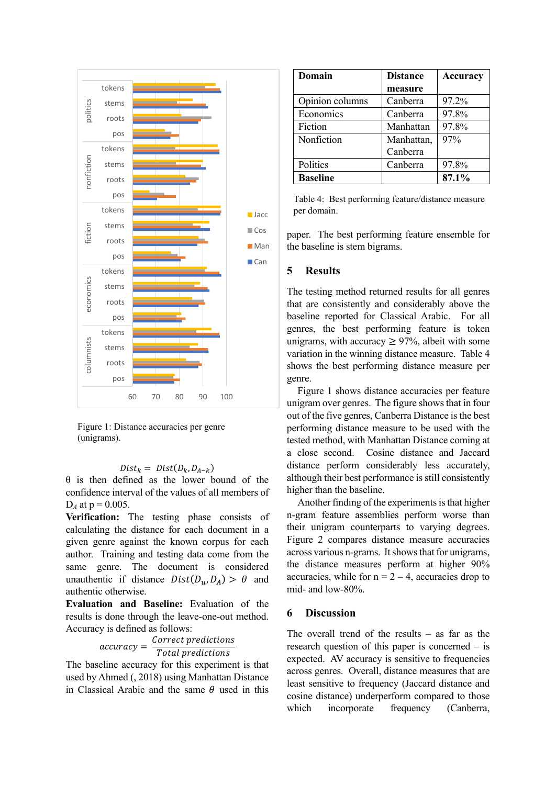

<span id="page-4-1"></span>Figure 1: Distance accuracies per genre (unigrams).

 $Dist_k = Dist(D_k, D_{A-k})$ 

 $\theta$  is then defined as the lower bound of the confidence interval of the values of all members of  $D_A$  at  $p = 0.005$ .

**Verification:** The testing phase consists of calculating the distance for each document in a given genre against the known corpus for each author. Training and testing data come from the same genre. The document is considered unauthentic if distance  $Dist(D_u, D_A) > \theta$  and authentic otherwise.

**Evaluation and Baseline:** Evaluation of the results is done through the leave-one-out method. Accuracy is defined as follows:

 $\textit{uracy} = \frac{\textit{Correct pred}}{\textit{Total predi}}$ 

The baseline accuracy for this experiment is that used by Ahmed (, 2018) using Manhattan Distance in Classical Arabic and the same  $\theta$  used in this

| Domain          | <b>Distance</b> | Accuracy |
|-----------------|-----------------|----------|
|                 | measure         |          |
| Opinion columns | Canberra        | 97.2%    |
| Economics       | Canberra        | 97.8%    |
| Fiction         | Manhattan       | 97.8%    |
| Nonfiction      | Manhattan,      | 97%      |
|                 | Canberra        |          |
| Politics        | Canberra        | 97.8%    |
| <b>Baseline</b> |                 | 87.1%    |

<span id="page-4-0"></span>Table 4: Best performing feature/distance measure per domain.

paper. The best performing feature ensemble for the baseline is stem bigrams.

### **5 Results**

The testing method returned results for all genres that are consistently and considerably above the baseline reported for Classical Arabic. For all genres, the best performing feature is token unigrams, with accuracy  $\geq$  97%, albeit with some variation in the winning distance measure. [Table 4](#page-4-0) shows the best performing distance measure per genre.

[Figure 1](#page-4-1) shows distance accuracies per feature unigram over genres. The figure shows that in four out of the five genres, Canberra Distance is the best performing distance measure to be used with the tested method, with Manhattan Distance coming at a close second. Cosine distance and Jaccard distance perform considerably less accurately, although their best performance is still consistently higher than the baseline.

Another finding of the experiments is that higher n-gram feature assemblies perform worse than their unigram counterparts to varying degrees. [Figure 2](#page-5-0) compares distance measure accuracies across various n-grams. It shows that for unigrams, the distance measures perform at higher 90% accuracies, while for  $n = 2 - 4$ , accuracies drop to mid- and low-80%.

### **6 Discussion**

The overall trend of the results  $-$  as far as the research question of this paper is concerned – is expected. AV accuracy is sensitive to frequencies across genres. Overall, distance measures that are least sensitive to frequency (Jaccard distance and cosine distance) underperform compared to those which incorporate frequency (Canberra,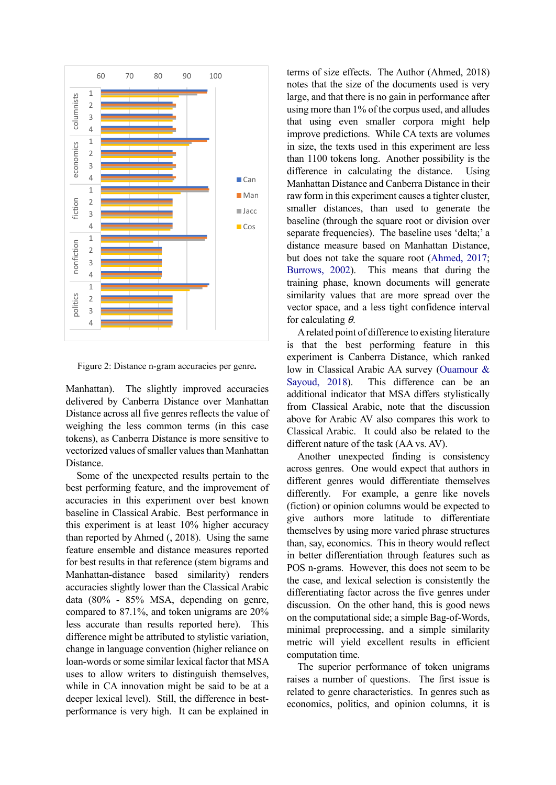

<span id="page-5-0"></span>Figure 2: Distance n-gram accuracies per genre**.**

Manhattan). The slightly improved accuracies delivered by Canberra Distance over Manhattan Distance across all five genres reflects the value of weighing the less common terms (in this case tokens), as Canberra Distance is more sensitive to vectorized values of smaller values than Manhattan Distance.

Some of the unexpected results pertain to the best performing feature, and the improvement of accuracies in this experiment over best known baseline in Classical Arabic. Best performance in this experiment is at least 10% higher accuracy than reported by Ahmed (, 2018). Using the same feature ensemble and distance measures reported for best results in that reference (stem bigrams and Manhattan-distance based similarity) renders accuracies slightly lower than the Classical Arabic data (80% - 85% MSA, depending on genre, compared to 87.1%, and token unigrams are 20% less accurate than results reported here). This difference might be attributed to stylistic variation, change in language convention (higher reliance on loan-words or some similar lexical factor that MSA uses to allow writers to distinguish themselves, while in CA innovation might be said to be at a deeper lexical level). Still, the difference in bestperformance is very high. It can be explained in

terms of size effects. The Author (Ahmed, 2018) notes that the size of the documents used is very large, and that there is no gain in performance after using more than 1% of the corpus used, and alludes that using even smaller corpora might help improve predictions. While CA texts are volumes in size, the texts used in this experiment are less than 1100 tokens long. Another possibility is the difference in calculating the distance. Using Manhattan Distance and Canberra Distance in their raw form in this experiment causes a tighter cluster, smaller distances, than used to generate the baseline (through the square root or division over separate frequencies). The baseline uses 'delta;' a distance measure based on Manhattan Distance, but does not take the square root [\(Ahmed, 2017;](#page-6-9) [Burrows, 2002\)](#page-6-4). This means that during the training phase, known documents will generate similarity values that are more spread over the vector space, and a less tight confidence interval for calculating  $\theta$ .

A related point of difference to existing literature is that the best performing feature in this experiment is Canberra Distance, which ranked low in Classical Arabic AA survey [\(Ouamour &](#page-7-4)  [Sayoud, 2018\)](#page-7-4). This difference can be an additional indicator that MSA differs stylistically from Classical Arabic, note that the discussion above for Arabic AV also compares this work to Classical Arabic. It could also be related to the different nature of the task (AA vs. AV).

Another unexpected finding is consistency across genres. One would expect that authors in different genres would differentiate themselves differently. For example, a genre like novels (fiction) or opinion columns would be expected to give authors more latitude to differentiate themselves by using more varied phrase structures than, say, economics. This in theory would reflect in better differentiation through features such as POS n-grams. However, this does not seem to be the case, and lexical selection is consistently the differentiating factor across the five genres under discussion. On the other hand, this is good news on the computational side; a simple Bag-of-Words, minimal preprocessing, and a simple similarity metric will yield excellent results in efficient computation time.

The superior performance of token unigrams raises a number of questions. The first issue is related to genre characteristics. In genres such as economics, politics, and opinion columns, it is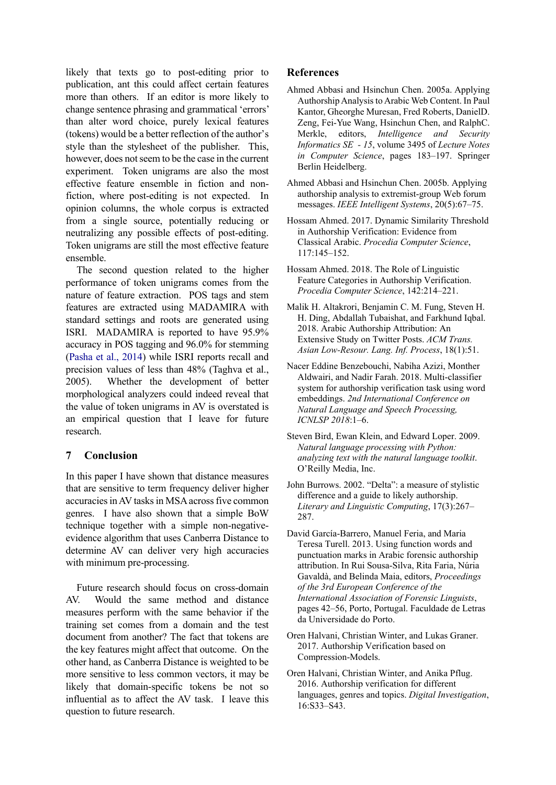likely that texts go to post-editing prior to publication, ant this could affect certain features more than others. If an editor is more likely to change sentence phrasing and grammatical 'errors' than alter word choice, purely lexical features (tokens) would be a better reflection of the author's style than the stylesheet of the publisher. This, however, does not seem to be the case in the current experiment. Token unigrams are also the most effective feature ensemble in fiction and nonfiction, where post-editing is not expected. In opinion columns, the whole corpus is extracted from a single source, potentially reducing or neutralizing any possible effects of post-editing. Token unigrams are still the most effective feature ensemble.

The second question related to the higher performance of token unigrams comes from the nature of feature extraction. POS tags and stem features are extracted using MADAMIRA with standard settings and roots are generated using ISRI. MADAMIRA is reported to have 95.9% accuracy in POS tagging and 96.0% for stemming [\(Pasha et al., 2014\)](#page-7-5) while ISRI reports recall and precision values of less than 48% (Taghva et al., 2005). Whether the development of better morphological analyzers could indeed reveal that the value of token unigrams in AV is overstated is an empirical question that I leave for future research.

# **7 Conclusion**

In this paper I have shown that distance measures that are sensitive to term frequency deliver higher accuracies in AV tasks in MSA across five common genres. I have also shown that a simple BoW technique together with a simple non-negativeevidence algorithm that uses Canberra Distance to determine AV can deliver very high accuracies with minimum pre-processing.

Future research should focus on cross-domain AV. Would the same method and distance measures perform with the same behavior if the training set comes from a domain and the test document from another? The fact that tokens are the key features might affect that outcome. On the other hand, as Canberra Distance is weighted to be more sensitive to less common vectors, it may be likely that domain-specific tokens be not so influential as to affect the AV task. I leave this question to future research.

## **References**

- <span id="page-6-0"></span>Ahmed Abbasi and Hsinchun Chen. 2005a. Applying Authorship Analysis to Arabic Web Content. In Paul Kantor, Gheorghe Muresan, Fred Roberts, DanielD. Zeng, Fei-Yue Wang, Hsinchun Chen, and RalphC. Merkle, editors, *Intelligence and Security Informatics SE - 15*, volume 3495 of *Lecture Notes in Computer Science*, pages 183–197. Springer Berlin Heidelberg.
- <span id="page-6-1"></span>Ahmed Abbasi and Hsinchun Chen. 2005b. Applying authorship analysis to extremist-group Web forum messages. *IEEE Intelligent Systems*, 20(5):67–75.
- <span id="page-6-9"></span>Hossam Ahmed. 2017. Dynamic Similarity Threshold in Authorship Verification: Evidence from Classical Arabic. *Procedia Computer Science*, 117:145–152.
- <span id="page-6-7"></span>Hossam Ahmed. 2018. The Role of Linguistic Feature Categories in Authorship Verification. *Procedia Computer Science*, 142:214–221.
- <span id="page-6-2"></span>Malik H. Altakrori, Benjamin C. M. Fung, Steven H. H. Ding, Abdallah Tubaishat, and Farkhund Iqbal. 2018. Arabic Authorship Attribution: An Extensive Study on Twitter Posts. *ACM Trans. Asian Low-Resour. Lang. Inf. Process*, 18(1):51.
- <span id="page-6-6"></span>Nacer Eddine Benzebouchi, Nabiha Azizi, Monther Aldwairi, and Nadir Farah. 2018. Multi-classifier system for authorship verification task using word embeddings. *2nd International Conference on Natural Language and Speech Processing, ICNLSP 2018*:1–6.
- Steven Bird, Ewan Klein, and Edward Loper. 2009. *Natural language processing with Python: analyzing text with the natural language toolkit*. O'Reilly Media, Inc.
- <span id="page-6-4"></span>John Burrows. 2002. "Delta": a measure of stylistic difference and a guide to likely authorship. *Literary and Linguistic Computing*, 17(3):267– 287.
- <span id="page-6-8"></span>David García-Barrero, Manuel Feria, and Maria Teresa Turell. 2013. Using function words and punctuation marks in Arabic forensic authorship attribution. In Rui Sousa-Silva, Rita Faria, Núria Gavaldà, and Belinda Maia, editors, *Proceedings of the 3rd European Conference of the International Association of Forensic Linguists*, pages 42–56, Porto, Portugal. Faculdade de Letras da Universidade do Porto.
- <span id="page-6-3"></span>Oren Halvani, Christian Winter, and Lukas Graner. 2017. Authorship Verification based on Compression-Models.
- <span id="page-6-5"></span>Oren Halvani, Christian Winter, and Anika Pflug. 2016. Authorship verification for different languages, genres and topics. *Digital Investigation*, 16:S33–S43.